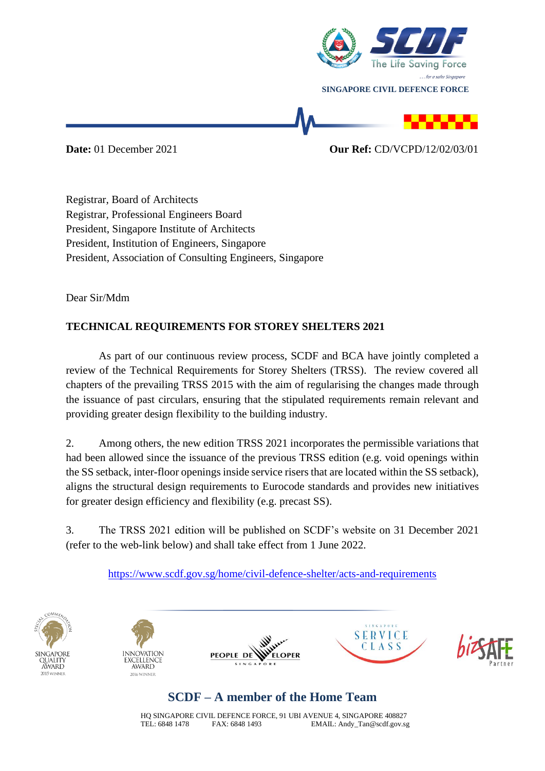

**Date:** 01 December 2021 **Our Ref:** CD/VCPD/12/02/03/01

Registrar, Board of Architects Registrar, Professional Engineers Board President, Singapore Institute of Architects President, Institution of Engineers, Singapore President, Association of Consulting Engineers, Singapore

Dear Sir/Mdm

## **TECHNICAL REQUIREMENTS FOR STOREY SHELTERS 2021**

As part of our continuous review process, SCDF and BCA have jointly completed a review of the Technical Requirements for Storey Shelters (TRSS). The review covered all chapters of the prevailing TRSS 2015 with the aim of regularising the changes made through the issuance of past circulars, ensuring that the stipulated requirements remain relevant and providing greater design flexibility to the building industry.

2. Among others, the new edition TRSS 2021 incorporates the permissible variations that had been allowed since the issuance of the previous TRSS edition (e.g. void openings within the SS setback, inter-floor openings inside service risers that are located within the SS setback), aligns the structural design requirements to Eurocode standards and provides new initiatives for greater design efficiency and flexibility (e.g. precast SS).

3. The TRSS 2021 edition will be published on SCDF's website on 31 December 2021 (refer to the web-link below) and shall take effect from 1 June 2022.

<https://www.scdf.gov.sg/home/civil-defence-shelter/acts-and-requirements>











## **SCDF – A member of the Home Team**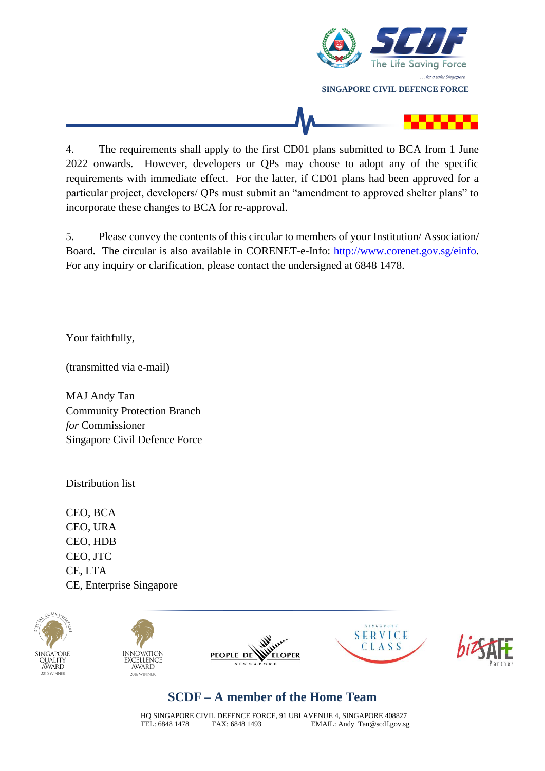

4. The requirements shall apply to the first CD01 plans submitted to BCA from 1 June 2022 onwards. However, developers or QPs may choose to adopt any of the specific requirements with immediate effect. For the latter, if CD01 plans had been approved for a particular project, developers/ QPs must submit an "amendment to approved shelter plans" to incorporate these changes to BCA for re-approval.

5. Please convey the contents of this circular to members of your Institution/ Association/ Board. The circular is also available in CORENET-e-Info: [http://www.corenet.gov.sg/einfo.](http://www.corenet.gov.sg/einfo) For any inquiry or clarification, please contact the undersigned at 6848 1478.

Your faithfully,

(transmitted via e-mail)

MAJ Andy Tan Community Protection Branch *for* Commissioner Singapore Civil Defence Force

Distribution list

CEO, BCA CEO, URA CEO, HDB CEO, JTC CE, LTA CE, Enterprise Singapore



## **SCDF – A member of the Home Team**

HQ SINGAPORE CIVIL DEFENCE FORCE, 91 UBI AVENUE 4, SINGAPORE 408827 TEL: 6848 1478 FAX: 6848 1493 EMAIL: Andy\_Tan@scdf.gov.sg